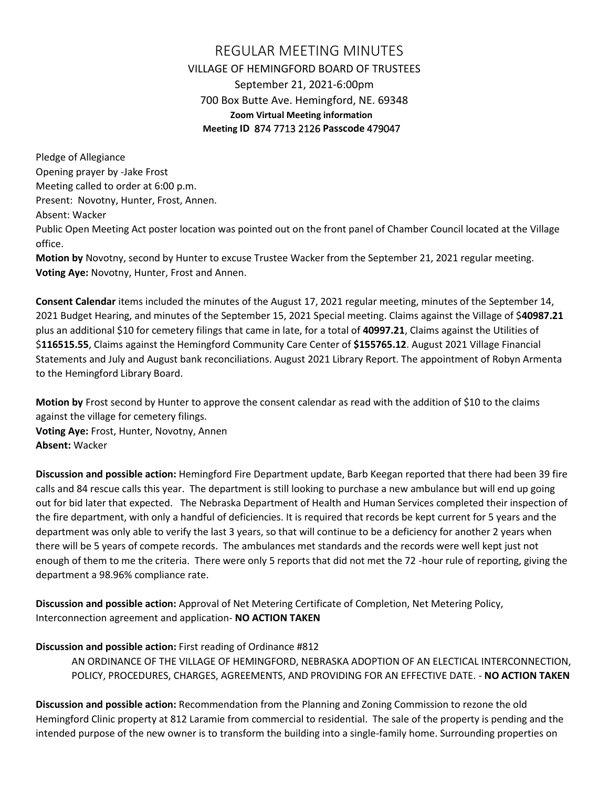## REGULAR MEETING MINUTES VILLAGE OF HEMINGFORD BOARD OF TRUSTEES September 21, 2021-6:00pm 700 Box Butte Ave. Hemingford, NE. 69348 **Zoom Virtual Meeting information Meeting ID** 874 7713 2126 **Passcode** 479047

Pledge of Allegiance Opening prayer by -Jake Frost Meeting called to order at 6:00 p.m. Present: Novotny, Hunter, Frost, Annen. Absent: Wacker Public Open Meeting Act poster location was pointed out on the front panel of Chamber Council located at the Village office.

**Motion by** Novotny, second by Hunter to excuse Trustee Wacker from the September 21, 2021 regular meeting. **Voting Aye:** Novotny, Hunter, Frost and Annen.

**Consent Calendar** items included the minutes of the August 17, 2021 regular meeting, minutes of the September 14, 2021 Budget Hearing, and minutes of the September 15, 2021 Special meeting. Claims against the Village of \$**40987.21**  plus an additional \$10 for cemetery filings that came in late, for a total of **40997.21**, Claims against the Utilities of \$**116515.55**, Claims against the Hemingford Community Care Center of **\$155765.12**. August 2021 Village Financial Statements and July and August bank reconciliations. August 2021 Library Report. The appointment of Robyn Armenta to the Hemingford Library Board.

**Motion by** Frost second by Hunter to approve the consent calendar as read with the addition of \$10 to the claims against the village for cemetery filings.

**Voting Aye:** Frost, Hunter, Novotny, Annen **Absent:** Wacker

**Discussion and possible action:** Hemingford Fire Department update, Barb Keegan reported that there had been 39 fire calls and 84 rescue calls this year. The department is still looking to purchase a new ambulance but will end up going out for bid later that expected. The Nebraska Department of Health and Human Services completed their inspection of the fire department, with only a handful of deficiencies. It is required that records be kept current for 5 years and the department was only able to verify the last 3 years, so that will continue to be a deficiency for another 2 years when there will be 5 years of compete records. The ambulances met standards and the records were well kept just not enough of them to me the criteria. There were only 5 reports that did not met the 72 -hour rule of reporting, giving the department a 98.96% compliance rate.

**Discussion and possible action:** Approval of Net Metering Certificate of Completion, Net Metering Policy, Interconnection agreement and application- **NO ACTION TAKEN**

## **Discussion and possible action:** First reading of Ordinance #812

AN ORDINANCE OF THE VILLAGE OF HEMINGFORD, NEBRASKA ADOPTION OF AN ELECTICAL INTERCONNECTION, POLICY, PROCEDURES, CHARGES, AGREEMENTS, AND PROVIDING FOR AN EFFECTIVE DATE. - **NO ACTION TAKEN**

**Discussion and possible action:** Recommendation from the Planning and Zoning Commission to rezone the old Hemingford Clinic property at 812 Laramie from commercial to residential. The sale of the property is pending and the intended purpose of the new owner is to transform the building into a single-family home. Surrounding properties on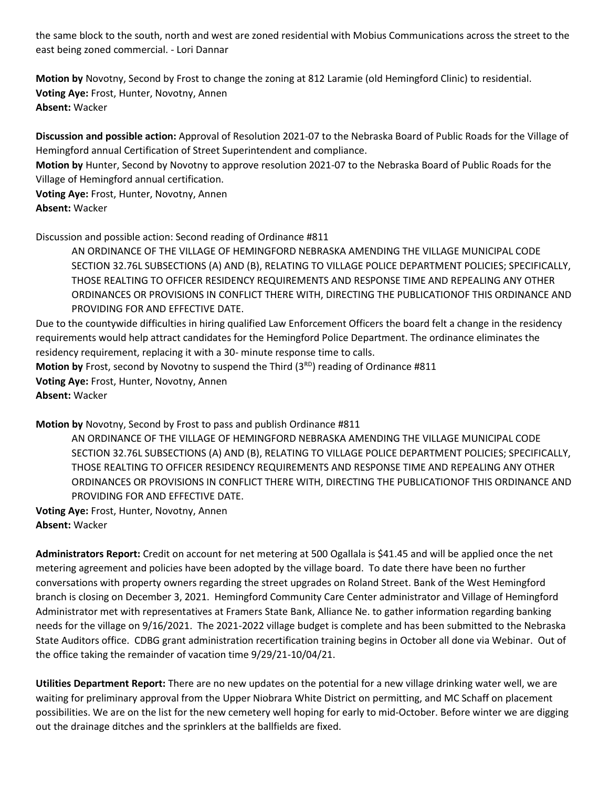the same block to the south, north and west are zoned residential with Mobius Communications across the street to the east being zoned commercial. - Lori Dannar

**Motion by** Novotny, Second by Frost to change the zoning at 812 Laramie (old Hemingford Clinic) to residential. **Voting Aye:** Frost, Hunter, Novotny, Annen **Absent:** Wacker

**Discussion and possible action:** Approval of Resolution 2021-07 to the Nebraska Board of Public Roads for the Village of Hemingford annual Certification of Street Superintendent and compliance.

**Motion by** Hunter, Second by Novotny to approve resolution 2021-07 to the Nebraska Board of Public Roads for the Village of Hemingford annual certification.

**Voting Aye:** Frost, Hunter, Novotny, Annen

**Absent:** Wacker

Discussion and possible action: Second reading of Ordinance #811

AN ORDINANCE OF THE VILLAGE OF HEMINGFORD NEBRASKA AMENDING THE VILLAGE MUNICIPAL CODE SECTION 32.76L SUBSECTIONS (A) AND (B), RELATING TO VILLAGE POLICE DEPARTMENT POLICIES; SPECIFICALLY, THOSE REALTING TO OFFICER RESIDENCY REQUIREMENTS AND RESPONSE TIME AND REPEALING ANY OTHER ORDINANCES OR PROVISIONS IN CONFLICT THERE WITH, DIRECTING THE PUBLICATIONOF THIS ORDINANCE AND PROVIDING FOR AND EFFECTIVE DATE.

Due to the countywide difficulties in hiring qualified Law Enforcement Officers the board felt a change in the residency requirements would help attract candidates for the Hemingford Police Department. The ordinance eliminates the residency requirement, replacing it with a 30- minute response time to calls.

Motion by Frost, second by Novotny to suspend the Third (3<sup>RD</sup>) reading of Ordinance #811

**Voting Aye:** Frost, Hunter, Novotny, Annen

**Absent:** Wacker

**Motion by** Novotny, Second by Frost to pass and publish Ordinance #811

AN ORDINANCE OF THE VILLAGE OF HEMINGFORD NEBRASKA AMENDING THE VILLAGE MUNICIPAL CODE SECTION 32.76L SUBSECTIONS (A) AND (B), RELATING TO VILLAGE POLICE DEPARTMENT POLICIES; SPECIFICALLY, THOSE REALTING TO OFFICER RESIDENCY REQUIREMENTS AND RESPONSE TIME AND REPEALING ANY OTHER ORDINANCES OR PROVISIONS IN CONFLICT THERE WITH, DIRECTING THE PUBLICATIONOF THIS ORDINANCE AND PROVIDING FOR AND EFFECTIVE DATE.

**Voting Aye:** Frost, Hunter, Novotny, Annen **Absent:** Wacker

**Administrators Report:** Credit on account for net metering at 500 Ogallala is \$41.45 and will be applied once the net metering agreement and policies have been adopted by the village board. To date there have been no further conversations with property owners regarding the street upgrades on Roland Street. Bank of the West Hemingford branch is closing on December 3, 2021. Hemingford Community Care Center administrator and Village of Hemingford Administrator met with representatives at Framers State Bank, Alliance Ne. to gather information regarding banking needs for the village on 9/16/2021. The 2021-2022 village budget is complete and has been submitted to the Nebraska State Auditors office. CDBG grant administration recertification training begins in October all done via Webinar. Out of the office taking the remainder of vacation time 9/29/21-10/04/21.

**Utilities Department Report:** There are no new updates on the potential for a new village drinking water well, we are waiting for preliminary approval from the Upper Niobrara White District on permitting, and MC Schaff on placement possibilities. We are on the list for the new cemetery well hoping for early to mid-October. Before winter we are digging out the drainage ditches and the sprinklers at the ballfields are fixed.